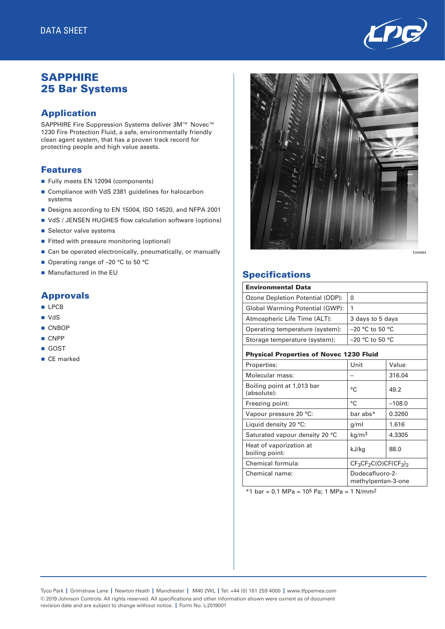

# **SAPPHIRE** 25 Bar Systems

### Application

SAPPHIRE Fire Suppression Systems deliver 3M™ Novec<sup>™</sup> 1230 Fire Protection Fluid, a safe, environmentally friendly clean agent system, that has a proven track record for protecting people and high value assets.

#### Features

- Fully meets EN 12094 (components)
- Compliance with VdS 2381 guidelines for halocarbon systems
- Designs according to EN 15004, ISO 14520, and NFPA 2001
- VdS / JENSEN HUGHES flow calculation software (options)
- Selector valve systems
- Fitted with pressure monitoring (optional)
- $\blacksquare$  Can be operated electronically, pneumatically, or manually
- Operating range of –20 °C to 50 °C
- $\blacksquare$  Manufactured in the EU

#### Approvals

- **n** LPCB
- $\blacksquare$  VdS
- n CNBOP
- $CNPP$
- n GOST
- CE marked



## **Specifications**

| <b>Environmental Data</b>                      |                                       |          |  |  |  |  |
|------------------------------------------------|---------------------------------------|----------|--|--|--|--|
| Ozone Depletion Potential (ODP):               | 0                                     |          |  |  |  |  |
| Global Warming Potential (GWP):                | 1                                     |          |  |  |  |  |
| Atmospheric Life Time (ALT):                   | 3 days to 5 days                      |          |  |  |  |  |
| Operating temperature (system):                | $-20$ °C to 50 °C                     |          |  |  |  |  |
| Storage temperature (system):                  | $-20$ °C to 50 °C                     |          |  |  |  |  |
| <b>Physical Properties of Novec 1230 Fluid</b> |                                       |          |  |  |  |  |
| Properties:                                    | Unit                                  | Value    |  |  |  |  |
| Molecular mass:                                |                                       | 316.04   |  |  |  |  |
| Boiling point at 1,013 bar<br>(absolute):      | °C                                    | 49.2     |  |  |  |  |
| Freezing point:                                | °C                                    | $-108.0$ |  |  |  |  |
| Vapour pressure 20 °C:                         | bar abs*                              | 0.3260   |  |  |  |  |
| Liquid density 20 °C:                          | g/ml                                  | 1.616    |  |  |  |  |
| Saturated vapour density 20 °C                 | kg/m <sup>3</sup>                     | 4.3305   |  |  |  |  |
| Heat of vaporization at<br>boiling point:      | kJ/kg                                 | 88.0     |  |  |  |  |
| Chemical formula:                              | $CF_3CF_2C(O)CF(CF_3)_2$              |          |  |  |  |  |
| Chemical name:                                 | Dodecafluoro-2-<br>methylpentan-3-one |          |  |  |  |  |

 $*1$  bar = 0.1 MPa = 10<sup>5</sup> Pa; 1 MPa = 1 N/mm<sup>2</sup>